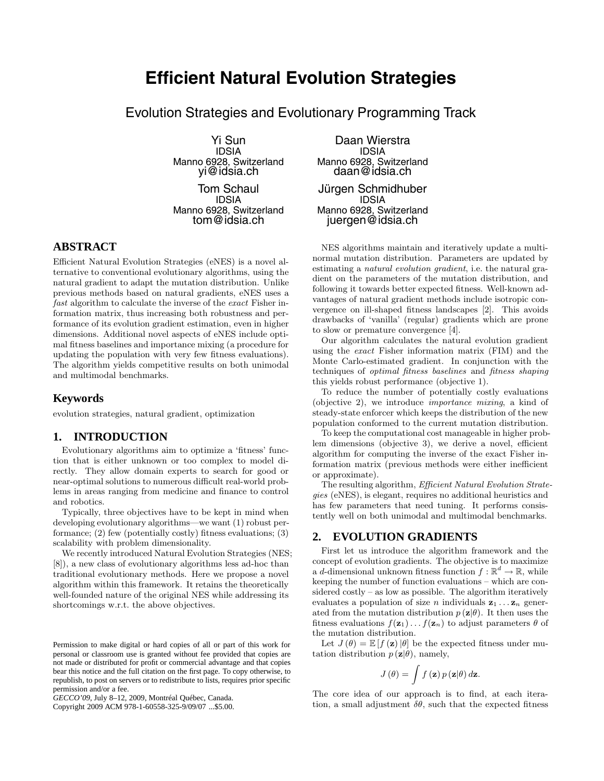# **Efficient Natural Evolution Strategies**

Evolution Strategies and Evolutionary Programming Track

Yi Sun IDSIA Manno 6928, Switzerland yi@idsia.ch

Tom Schaul IDSIA Manno 6928, Switzerland tom@idsia.ch

# **ABSTRACT**

Efficient Natural Evolution Strategies (eNES) is a novel alternative to conventional evolutionary algorithms, using the natural gradient to adapt the mutation distribution. Unlike previous methods based on natural gradients, eNES uses a fast algorithm to calculate the inverse of the exact Fisher information matrix, thus increasing both robustness and performance of its evolution gradient estimation, even in higher dimensions. Additional novel aspects of eNES include optimal fitness baselines and importance mixing (a procedure for updating the population with very few fitness evaluations). The algorithm yields competitive results on both unimodal and multimodal benchmarks.

# **Keywords**

evolution strategies, natural gradient, optimization

## **1. INTRODUCTION**

Evolutionary algorithms aim to optimize a 'fitness' function that is either unknown or too complex to model directly. They allow domain experts to search for good or near-optimal solutions to numerous difficult real-world problems in areas ranging from medicine and finance to control and robotics.

Typically, three objectives have to be kept in mind when developing evolutionary algorithms—we want (1) robust performance; (2) few (potentially costly) fitness evaluations; (3) scalability with problem dimensionality.

We recently introduced Natural Evolution Strategies (NES; [8]), a new class of evolutionary algorithms less ad-hoc than traditional evolutionary methods. Here we propose a novel algorithm within this framework. It retains the theoretically well-founded nature of the original NES while addressing its shortcomings w.r.t. the above objectives.

Copyright 2009 ACM 978-1-60558-325-9/09/07 ...\$5.00.

Daan Wierstra IDSIA Manno 6928, Switzerland daan@idsia.ch Jürgen Schmidhuber IDSIA

Manno 6928, Switzerland juergen@idsia.ch

NES algorithms maintain and iteratively update a multinormal mutation distribution. Parameters are updated by estimating a *natural evolution gradient*, i.e. the natural gradient on the parameters of the mutation distribution, and following it towards better expected fitness. Well-known advantages of natural gradient methods include isotropic convergence on ill-shaped fitness landscapes [2]. This avoids drawbacks of 'vanilla' (regular) gradients which are prone to slow or premature convergence [4].

Our algorithm calculates the natural evolution gradient using the exact Fisher information matrix (FIM) and the Monte Carlo-estimated gradient. In conjunction with the techniques of optimal fitness baselines and fitness shaping this yields robust performance (objective 1).

To reduce the number of potentially costly evaluations (objective 2), we introduce importance mixing, a kind of steady-state enforcer which keeps the distribution of the new population conformed to the current mutation distribution.

To keep the computational cost manageable in higher problem dimensions (objective 3), we derive a novel, efficient algorithm for computing the inverse of the exact Fisher information matrix (previous methods were either inefficient or approximate).

The resulting algorithm, Efficient Natural Evolution Strategies (eNES), is elegant, requires no additional heuristics and has few parameters that need tuning. It performs consistently well on both unimodal and multimodal benchmarks.

## **2. EVOLUTION GRADIENTS**

First let us introduce the algorithm framework and the concept of evolution gradients. The objective is to maximize a d-dimensional unknown fitness function  $f : \mathbb{R}^d \to \mathbb{R}$ , while keeping the number of function evaluations – which are considered costly – as low as possible. The algorithm iteratively evaluates a population of size n individuals  $z_1 \ldots z_n$  generated from the mutation distribution  $p(\mathbf{z}|\theta)$ . It then uses the fitness evaluations  $f(\mathbf{z}_1) \dots f(\mathbf{z}_n)$  to adjust parameters  $\theta$  of the mutation distribution.

Let  $J(\theta) = \mathbb{E}[f(\mathbf{z})|\theta]$  be the expected fitness under mutation distribution  $p(\mathbf{z}|\theta)$ , namely,

$$
J(\theta) = \int f(\mathbf{z}) p(\mathbf{z}|\theta) d\mathbf{z}.
$$

The core idea of our approach is to find, at each iteration, a small adjustment  $\delta\theta$ , such that the expected fitness

Permission to make digital or hard copies of all or part of this work for personal or classroom use is granted without fee provided that copies are not made or distributed for profit or commercial advantage and that copies bear this notice and the full citation on the first page. To copy otherwise, to republish, to post on servers or to redistribute to lists, requires prior specific permission and/or a fee.

*GECCO'09,* July 8–12, 2009, Montréal Québec, Canada.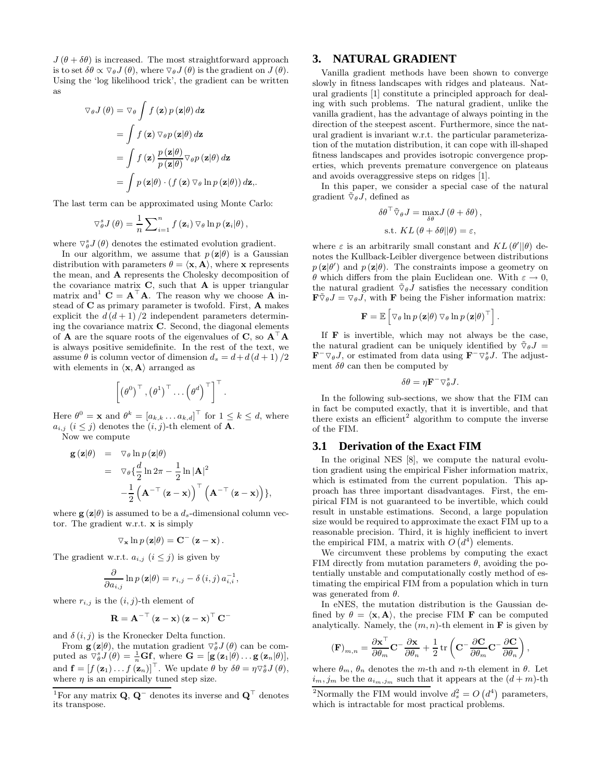$J(\theta + \delta\theta)$  is increased. The most straightforward approach is to set  $\delta\theta \propto \nabla_{\theta}J(\theta)$ , where  $\nabla_{\theta}J(\theta)$  is the gradient on  $J(\theta)$ . Using the 'log likelihood trick', the gradient can be written as

$$
\nabla_{\theta} J(\theta) = \nabla_{\theta} \int f(\mathbf{z}) p(\mathbf{z}|\theta) d\mathbf{z}
$$
  
= 
$$
\int f(\mathbf{z}) \nabla_{\theta} p(\mathbf{z}|\theta) d\mathbf{z}
$$
  
= 
$$
\int f(\mathbf{z}) \frac{p(\mathbf{z}|\theta)}{p(\mathbf{z}|\theta)} \nabla_{\theta} p(\mathbf{z}|\theta) d\mathbf{z}
$$
  
= 
$$
\int p(\mathbf{z}|\theta) \cdot (f(\mathbf{z}) \nabla_{\theta} \ln p(\mathbf{z}|\theta)) d\mathbf{z},
$$

The last term can be approximated using Monte Carlo:

$$
\nabla_{\theta}^{s} J(\theta) = \frac{1}{n} \sum_{i=1}^{n} f(\mathbf{z}_{i}) \nabla_{\theta} \ln p(\mathbf{z}_{i} | \theta),
$$

where  $\nabla_{\theta}^{s} J(\theta)$  denotes the estimated evolution gradient.

In our algorithm, we assume that  $p(\mathbf{z}|\theta)$  is a Gaussian distribution with parameters  $\theta = \langle \mathbf{x}, \mathbf{A} \rangle$ , where **x** represents the mean, and **A** represents the Cholesky decomposition of the covariance matrix **C**, such that **A** is upper triangular matrix and  $C = A^{\top}A$ . The reason why we choose A instead of **C** as primary parameter is twofold. First, **A** makes explicit the  $d(d+1)/2$  independent parameters determining the covariance matrix **C**. Second, the diagonal elements of **A** are the square roots of the eigenvalues of **C**, so **A**-**A** is always positive semidefinite. In the rest of the text, we assume  $\theta$  is column vector of dimension  $d_s = d + d(d+1)/2$ with elements in  $\langle \mathbf{x}, \mathbf{A} \rangle$  arranged as

$$
\left[\left(\theta^0\right)^{\top}, \left(\theta^1\right)^{\top} \dots \left(\theta^d\right)^{\top}\right]^{\top}.
$$

Here  $\theta^0 = \mathbf{x}$  and  $\theta^k = [a_{k,k} \dots a_{k,d}]^\top$  for  $1 \leq k \leq d$ , where  $a_{i,j}$   $(i \leq j)$  denotes the  $(i, j)$ -th element of **A**. Now we compute

$$
\mathbf{g}(\mathbf{z}|\theta) = \nabla_{\theta} \ln p(\mathbf{z}|\theta) \n= \nabla_{\theta} \left\{ \frac{d}{2} \ln 2\pi - \frac{1}{2} \ln |\mathbf{A}|^2 \right. \n- \frac{1}{2} \left( \mathbf{A}^{-\top} (\mathbf{z} - \mathbf{x}) \right)^{\top} \left( \mathbf{A}^{-\top} (\mathbf{z} - \mathbf{x}) \right) \},
$$

where  $\mathbf{g}(\mathbf{z}|\theta)$  is assumed to be a  $d_s$ -dimensional column vector. The gradient w.r.t. **x** is simply

$$
\nabla_{\mathbf{x}} \ln p(\mathbf{z}|\theta) = \mathbf{C}^{-}(\mathbf{z} - \mathbf{x}).
$$

The gradient w.r.t.  $a_{i,j}$   $(i \leq j)$  is given by

$$
\frac{\partial}{\partial a_{i,j}}\ln p\left(\mathbf{z}|\theta\right) = r_{i,j} - \delta\left(i,j\right)a_{i,i}^{-1},
$$

where  $r_{i,j}$  is the  $(i, j)$ -th element of

$$
\mathbf{R} = \mathbf{A}^{-\top} \left( \mathbf{z} - \mathbf{x} \right) \left( \mathbf{z} - \mathbf{x} \right)^{\top} \mathbf{C}^{-1}
$$

and  $\delta(i, j)$  is the Kronecker Delta function.

From  $\mathbf{g}(\mathbf{z}|\theta)$ , the mutation gradient  $\nabla_{\theta}^{s}J(\theta)$  can be computed as  $\nabla_{\theta}^{s} J(\theta) = \frac{1}{n} \mathbf{G} \mathbf{f}$ , where  $\mathbf{G} = [\mathbf{g}(\mathbf{z}_{1} | \theta) \dots \mathbf{g}(\mathbf{z}_{n} | \theta)],$ and  $\mathbf{f} = [f(\mathbf{z}_1) \dots f(\mathbf{z}_n)]^\top$ . We update  $\theta$  by  $\delta \theta = \eta \nabla_{\theta}^s J(\theta)$ , where  $\eta$  is an empirically tuned step size.

#### **3. NATURAL GRADIENT**

Vanilla gradient methods have been shown to converge slowly in fitness landscapes with ridges and plateaus. Natural gradients [1] constitute a principled approach for dealing with such problems. The natural gradient, unlike the vanilla gradient, has the advantage of always pointing in the direction of the steepest ascent. Furthermore, since the natural gradient is invariant w.r.t. the particular parameterization of the mutation distribution, it can cope with ill-shaped fitness landscapes and provides isotropic convergence properties, which prevents premature convergence on plateaus and avoids overaggressive steps on ridges [1].

In this paper, we consider a special case of the natural gradient  $\tilde{\nabla}_{\theta} \tilde{J}$ , defined as

$$
\delta \theta^{\top} \tilde{\nabla}_{\theta} J = \max_{\delta \theta} J(\theta + \delta \theta),
$$
  
s.t. 
$$
KL(\theta + \delta \theta || \theta) = \varepsilon,
$$

where  $\varepsilon$  is an arbitrarily small constant and  $KL(\theta' || \theta)$  denotes the Kullback-Leibler divergence between distributions  $p(\mathbf{z}|\theta')$  and  $p(\mathbf{z}|\theta)$ . The constraints impose a geometry on θ which differs from the plain Euclidean one. With  $ε → 0$ , the natural gradient  $\tilde{\nabla}_{\theta} \tilde{J}$  satisfies the necessary condition  $\mathbf{F} \tilde{\nabla}_{\theta} J = \nabla_{\theta} J$ , with **F** being the Fisher information matrix:

$$
\mathbf{F} = \mathbb{E}\left[\triangledown_{\theta} \ln p\left(\mathbf{z}|\theta\right) \triangledown_{\theta} \ln p\left(\mathbf{z}|\theta\right)^{\top}\right].
$$

If **F** is invertible, which may not always be the case, the natural gradient can be uniquely identified by  $\tilde{\nabla}_{\theta}J =$  $\mathbf{F}^- \nabla_{\theta} J$ , or estimated from data using  $\mathbf{F}^- \nabla_{\theta}^s J$ . The adjustment  $\delta\theta$  can then be computed by

$$
\delta\theta = \eta \mathbf{F}^- \nabla^s_\theta J.
$$

In the following sub-sections, we show that the FIM can in fact be computed exactly, that it is invertible, and that there exists an efficient<sup>2</sup> algorithm to compute the inverse of the FIM.

## **3.1 Derivation of the Exact FIM**

In the original NES [8], we compute the natural evolution gradient using the empirical Fisher information matrix, which is estimated from the current population. This approach has three important disadvantages. First, the empirical FIM is not guaranteed to be invertible, which could result in unstable estimations. Second, a large population size would be required to approximate the exact FIM up to a reasonable precision. Third, it is highly inefficient to invert the empirical FIM, a matrix with  $O(d^4)$  elements.

We circumvent these problems by computing the exact FIM directly from mutation parameters  $\theta$ , avoiding the potentially unstable and computationally costly method of estimating the empirical FIM from a population which in turn was generated from  $\theta$ .

In eNES, the mutation distribution is the Gaussian defined by  $\theta = \langle \mathbf{x}, \mathbf{A} \rangle$ , the precise FIM **F** can be computed analytically. Namely, the  $(m, n)$ -th element in **F** is given by

$$
\label{eq:1D1V:nonrel} \left(\mathbf{F}\right)_{m,n} = \frac{\partial \mathbf{x}^\top}{\partial \theta_m} \mathbf{C}^- \frac{\partial \mathbf{x}}{\partial \theta_n} + \frac{1}{2} \operatorname{tr}\left(\mathbf{C}^- \frac{\partial \mathbf{C}}{\partial \theta_m} \mathbf{C}^- \frac{\partial \mathbf{C}}{\partial \theta_n}\right),
$$

where  $\theta_m$ ,  $\theta_n$  denotes the m-th and n-th element in  $\theta$ . Let  $i_m, j_m$  be the  $a_{i_m, j_m}$  such that it appears at the  $(d+m)$ -th

<sup>&</sup>lt;sup>1</sup>For any matrix **Q**, **Q**<sup>-</sup> denotes its inverse and **Q**<sup> $\top$ </sup> denotes its transpose.

<sup>&</sup>lt;sup>2</sup>Normally the FIM would involve  $d_s^2 = O(d^4)$  parameters, which is intractable for most practical problems.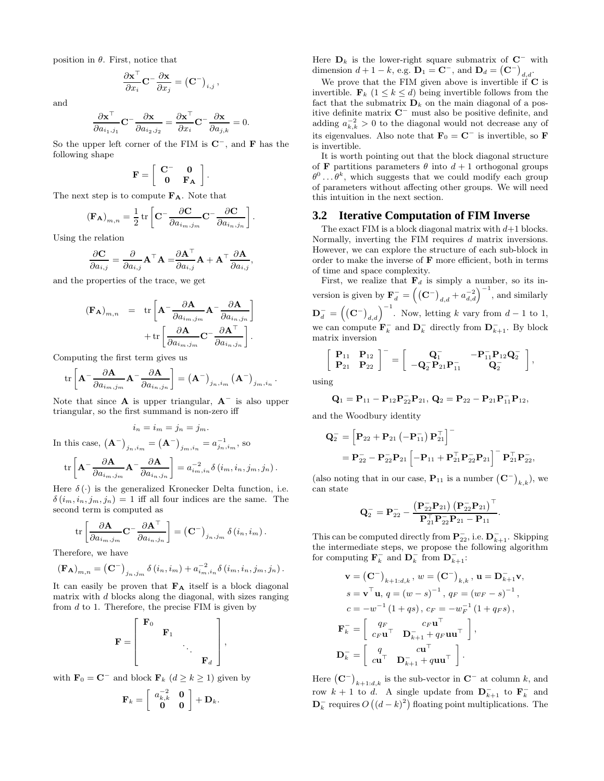position in  $\theta$ . First, notice that

$$
\frac{\partial \mathbf{x}^{\top}}{\partial x_i} \mathbf{C}^{-} \frac{\partial \mathbf{x}}{\partial x_j} = (\mathbf{C}^{-})_{i,j},
$$

and

$$
\frac{\partial \mathbf{x}^{\top}}{\partial a_{i_1, j_1}} \mathbf{C}^{-} \frac{\partial \mathbf{x}}{\partial a_{i_2, j_2}} = \frac{\partial \mathbf{x}^{\top}}{\partial x_i} \mathbf{C}^{-} \frac{\partial \mathbf{x}}{\partial a_{j, k}} = 0.
$$

So the upper left corner of the FIM is **C**−, and **F** has the following shape

$$
\mathbf{F} = \left[ \begin{array}{cc} \mathbf{C}^- & \mathbf{0} \\ \mathbf{0} & \mathbf{F_A} \end{array} \right]
$$

.

,

The next step is to compute **FA**. Note that

$$
\left(\mathbf{F}_{\mathbf{A}}\right)_{m,n}=\frac{1}{2}\operatorname{tr}\left[\mathbf{C}^{-}\frac{\partial\mathbf{C}}{\partial a_{i_{m},j_{m}}}\mathbf{C}^{-}\frac{\partial\mathbf{C}}{\partial a_{i_{n},j_{n}}}\right].
$$

Using the relation

$$
\frac{\partial \mathbf{C}}{\partial a_{i,j}} = \frac{\partial}{\partial a_{i,j}} \mathbf{A}^\top \mathbf{A} = \stackrel{\partial \mathbf{A}^\top}{\partial a_{i,j}} \mathbf{A} + \mathbf{A}^\top \frac{\partial \mathbf{A}}{\partial a_{i,j}}
$$

and the properties of the trace, we get

$$
\begin{array}{rcl} \displaystyle \left( \mathbf{F}_{\mathbf{A}} \right)_{m,n} & = & \displaystyle \mathrm{tr} \left[ \mathbf{A}^- \frac{\partial \mathbf{A}}{\partial a_{i_m,j_m}} \mathbf{A}^- \frac{\partial \mathbf{A}}{\partial a_{i_n,j_n}} \right] \\ & & \displaystyle + \mathrm{tr} \left[ \frac{\partial \mathbf{A}}{\partial a_{i_m,j_m}} \mathbf{C}^- \frac{\partial \mathbf{A}^{\top}}{\partial a_{i_n,j_n}} \right]. \end{array}
$$

Computing the first term gives us

$$
\operatorname{tr}\left[\mathbf{A}^{-}\frac{\partial \mathbf{A}}{\partial a_{i_m,j_m}}\mathbf{A}^{-}\frac{\partial \mathbf{A}}{\partial a_{i_n,j_n}}\right] = \left(\mathbf{A}^{-}\right)_{j_n,i_m} \left(\mathbf{A}^{-}\right)_{j_m,i_n}.
$$

Note that since **A** is upper triangular,  $A^-$  is also upper triangular, so the first summand is non-zero iff

$$
i_n = i_m = j_n = j_m.
$$
  
In this case,  $(A-)_{j_n, i_m} = (A-)_{j_m, i_n} = a_{j_n, i_m}^{-1}$ , so  

$$
\text{tr}\left[\mathbf{A}^{-}\frac{\partial \mathbf{A}}{\partial a_{i_m, j_m}}\mathbf{A}^{-}\frac{\partial \mathbf{A}}{\partial a_{i_n, j_n}}\right] = a_{i_m, i_n}^{-2} \delta(i_m, i_n, j_m, j_n).
$$

Here  $\delta(\cdot)$  is the generalized Kronecker Delta function, i.e.  $\delta(i_m, i_n, j_m, j_n) = 1$  iff all four indices are the same. The second term is computed as

$$
\text{tr}\left[\frac{\partial \mathbf{A}}{\partial a_{i_m,j_m}}\mathbf{C}^{-}\frac{\partial \mathbf{A}^{\top}}{\partial a_{i_n,j_n}}\right] = \left(\mathbf{C}^{-}\right)_{j_n,j_m} \delta(i_n,i_m).
$$

Therefore, we have

$$
(\mathbf{F}_{\mathbf{A}})_{m,n} = (\mathbf{C}^{-})_{j_{n},j_{m}} \delta(i_{n},i_{m}) + a_{i_{m},i_{n}}^{-2} \delta(i_{m},i_{n},j_{m},j_{n}).
$$

It can easily be proven that **F<sup>A</sup>** itself is a block diagonal matrix with  $d$  blocks along the diagonal, with sizes ranging from  $d$  to 1. Therefore, the precise FIM is given by

$$
\mathbf{F} = \left[ \begin{array}{cccc} \mathbf{F}_0 & & & \\ & \mathbf{F}_1 & & \\ & & \ddots & \\ & & & \mathbf{F}_d \end{array} \right],
$$

with  $\mathbf{F}_0 = \mathbf{C}^-$  and block  $\mathbf{F}_k$  ( $d \geq k \geq 1$ ) given by

$$
\mathbf{F}_k = \left[ \begin{array}{cc} a_{k,k}^{-2} & \mathbf{0} \\ \mathbf{0} & \mathbf{0} \end{array} \right] + \mathbf{D}_k.
$$

Here  $D_k$  is the lower-right square submatrix of  $C^-$  with dimension  $d + 1 - k$ , e.g.  $\mathbf{D}_1 = \mathbf{C}^-$ , and  $\mathbf{D}_d = (\mathbf{C}^-)_{d,d}$ .

We prove that the FIM given above is invertible if **C** is invertible.  $\mathbf{F}_k$  ( $1 \leq k \leq d$ ) being invertible follows from the fact that the submatrix  $\mathbf{D}_k$  on the main diagonal of a positive definite matrix **C**<sup>−</sup> must also be positive definite, and adding  $a_{k,k}^{-2} > 0$  to the diagonal would not decrease any of its eigenvalues. Also note that  $\mathbf{F}_0 = \mathbf{C}^-$  is invertible, so **F** is invertible.

It is worth pointing out that the block diagonal structure of **F** partitions parameters  $\theta$  into  $d+1$  orthogonal groups  $\theta^0 \dots \theta^k$ , which suggests that we could modify each group of parameters without affecting other groups. We will need this intuition in the next section.

### **3.2 Iterative Computation of FIM Inverse**

The exact FIM is a block diagonal matrix with  $d+1$  blocks. Normally, inverting the FIM requires d matrix inversions. However, we can explore the structure of each sub-block in order to make the inverse of **F** more efficient, both in terms of time and space complexity.

First, we realize that  $\mathbf{F}_d$  is simply a number, so its inversion is given by  $\mathbf{F}_d^- = \left( (\mathbf{C}^-)_{d,d} + a_{d,d}^{-2} \right)^{-1}$ , and similarly  $\mathbf{D}_d^- = \left( \begin{pmatrix} \mathbf{C}^- \end{pmatrix}_{d,d} \right)^{-1}$ . Now, letting k vary from  $d-1$  to 1, we can compute  $\mathbf{F}_k^-$  and  $\mathbf{D}_k^-$  directly from  $\mathbf{D}_{k+1}^-$ . By block matrix inversion

$$
\left[\begin{array}{cc} \mathbf{P}_{11} & \mathbf{P}_{12} \\ \mathbf{P}_{21} & \mathbf{P}_{22} \end{array}\right]^{-} = \left[\begin{array}{cc} \mathbf{Q}_{1}^{-} & -\mathbf{P}_{11}^{-}\mathbf{P}_{12}\mathbf{Q}_{2}^{-} \\ -\mathbf{Q}_{2}^{-}\mathbf{P}_{21}\mathbf{P}_{11}^{-} & \mathbf{Q}_{2}^{-} \end{array}\right],
$$

using

$$
\mathbf{Q}_1 = \mathbf{P}_{11} - \mathbf{P}_{12}\mathbf{P}_{22}^-\mathbf{P}_{21}, \, \mathbf{Q}_2 = \mathbf{P}_{22} - \mathbf{P}_{21}\mathbf{P}_{11}^-\mathbf{P}_{12},
$$

and the Woodbury identity

$$
\begin{aligned} \mathbf{Q}_2^- &= \left[ \mathbf{P}_{22} + \mathbf{P}_{21} \left( -\mathbf{P}_{11}^- \right) \mathbf{P}_{21}^\top \right]^\top \\ &= \mathbf{P}_{22}^- - \mathbf{P}_{22}^- \mathbf{P}_{21} \left[ -\mathbf{P}_{11} + \mathbf{P}_{21}^\top \mathbf{P}_{22}^- \mathbf{P}_{21} \right]^\top \mathbf{P}_{21}^\top \mathbf{P}_{22}^\top, \end{aligned}
$$

(also noting that in our case,  $\mathbf{P}_{11}$  is a number  $(\mathbf{C}^-)_{k,k}$ ), we can state

$$
\mathbf{Q}_2^{\perp} = \mathbf{P}_{22}^{\perp} - \frac{\left(\mathbf{P}_{22}^{\perp}\mathbf{P}_{21}\right)\left(\mathbf{P}_{22}^{\perp}\mathbf{P}_{21}\right)^{\perp}}{\mathbf{P}_{21}^{\top}\mathbf{P}_{22}^{\perp}\mathbf{P}_{21} - \mathbf{P}_{11}}.
$$

This can be computed directly from  $\mathbf{P}_{22}^-$ , i.e.  $\mathbf{D}_{k+1}^-$ . Skipping the intermediate steps, we propose the following algorithm for computing  $\mathbf{F}_k^-$  and  $\mathbf{D}_k^-$  from  $\mathbf{D}_{k+1}^-$ :

$$
\mathbf{v} = (\mathbf{C}^{-})_{k+1:d,k}, w = (\mathbf{C}^{-})_{k,k}, \mathbf{u} = \mathbf{D}_{k+1}^{-} \mathbf{v},
$$
  
\n
$$
s = \mathbf{v}^{\top} \mathbf{u}, q = (w - s)^{-1}, q_F = (w_F - s)^{-1},
$$
  
\n
$$
c = -w^{-1} (1 + qs), c_F = -w_F^{-1} (1 + q_F s),
$$
  
\n
$$
\mathbf{F}_{k}^{-} = \begin{bmatrix} q_F & c_F \mathbf{u}^{\top} \\ c_F \mathbf{u}^{\top} & \mathbf{D}_{k+1}^{-} + q_F \mathbf{u} \mathbf{u}^{\top} \end{bmatrix},
$$
  
\n
$$
\mathbf{D}_{k}^{-} = \begin{bmatrix} q & c\mathbf{u}^{\top} \\ c\mathbf{u}^{\top} & \mathbf{D}_{k+1}^{-} + q\mathbf{u}\mathbf{u}^{\top} \end{bmatrix}.
$$

Here  $(\mathbf{C}^-)_{k+1:d,k}$  is the sub-vector in  $\mathbf{C}^-$  at column k, and row  $k + 1$  to d. A single update from  $\mathbf{D}_{k+1}^-$  to  $\mathbf{F}_k^-$  and  $\mathbf{D}_k^-$  requires  $O((d-k)^2)$  floating point multiplications. The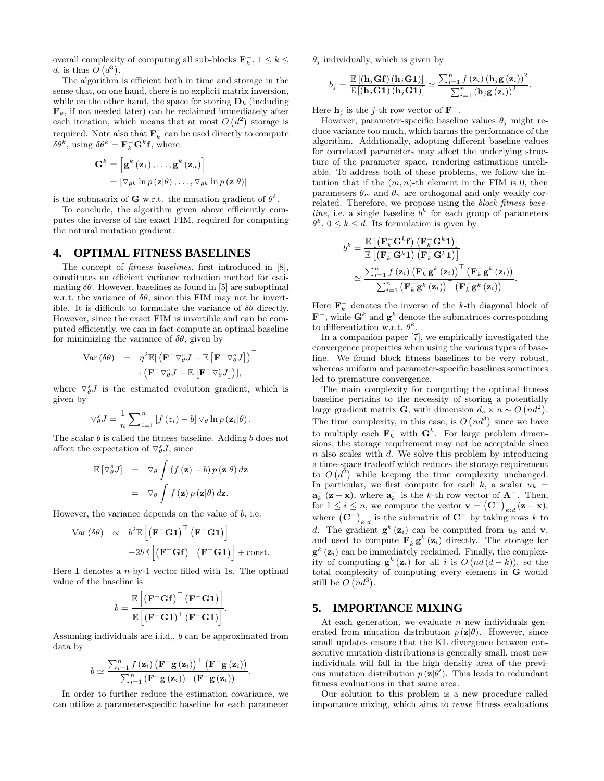overall complexity of computing all sub-blocks  $\mathbf{F}_k^-$ ,  $1 \leq k \leq$ d, is thus  $O(d^3)$ .

The algorithm is efficient both in time and storage in the sense that, on one hand, there is no explicit matrix inversion, while on the other hand, the space for storing  $\mathbf{D}_k$  (including  $\mathbf{F}_k$ , if not needed later) can be reclaimed immediately after each iteration, which means that at most  $O(d^2)$  storage is required. Note also that  $\mathbf{F}_k^-$  can be used directly to compute  $\delta\theta^{\vec{k}}, \text{ using } \delta\theta^k = \mathbf{F}_k^- \mathbf{G}^k \mathbf{f}, \text{ where}$ 

$$
\mathbf{G}^{k} = \left[\mathbf{g}^{k} \left(\mathbf{z}_{1}\right), \ldots, \mathbf{g}^{k} \left(\mathbf{z}_{n}\right)\right]
$$

$$
= \left[\nabla_{\theta^{k}} \ln p \left(\mathbf{z} | \theta\right), \ldots, \nabla_{\theta^{k}} \ln p \left(\mathbf{z} | \theta\right)\right]
$$

is the submatrix of **G** w.r.t. the mutation gradient of  $\theta^k$ .

To conclude, the algorithm given above efficiently computes the inverse of the exact FIM, required for computing the natural mutation gradient.

#### **4. OPTIMAL FITNESS BASELINES**

The concept of *fitness baselines*, first introduced in [8], constitutes an efficient variance reduction method for estimating  $\delta\theta$ . However, baselines as found in [5] are suboptimal w.r.t. the variance of  $\delta\theta$ , since this FIM may not be invertible. It is difficult to formulate the variance of  $\delta\theta$  directly. However, since the exact FIM is invertible and can be computed efficiently, we can in fact compute an optimal baseline for minimizing the variance of  $\delta\theta$ , given by

$$
Var (\delta \theta) = \eta^2 \mathbb{E} [\left( \mathbf{F}^- \nabla_{\theta}^s J - \mathbb{E} \left[ \mathbf{F}^- \nabla_{\theta}^s J \right] \right)^\top \cdot \left( \mathbf{F}^- \nabla_{\theta}^s J - \mathbb{E} \left[ \mathbf{F}^- \nabla_{\theta}^s J \right] \right)],
$$

where  $\nabla_{\theta}^{s}J$  is the estimated evolution gradient, which is given by

$$
\nabla_{\theta}^{s} J = \frac{1}{n} \sum_{i=1}^{n} \left[ f(z_i) - b \right] \nabla_{\theta} \ln p(\mathbf{z}_i | \theta).
$$

The scalar  $b$  is called the fitness baseline. Adding  $b$  does not affect the expectation of  $\nabla_{\theta}^s J$ , since

$$
\mathbb{E}[\nabla_{\theta}^{s} J] = \nabla_{\theta} \int (f(\mathbf{z}) - b) p(\mathbf{z}|\theta) d\mathbf{z}
$$

$$
= \nabla_{\theta} \int f(\mathbf{z}) p(\mathbf{z}|\theta) d\mathbf{z}.
$$

However, the variance depends on the value of  $b$ , i.e.

$$
\begin{array}{rcl} \text{Var} \left( \delta \theta \right) & \propto & b^2 \mathbb{E} \left[ \left( \mathbf{F}^- \mathbf{G} \mathbf{1} \right)^\top \left( \mathbf{F}^- \mathbf{G} \mathbf{1} \right) \right] \\ & & - 2 b \mathbb{E} \left[ \left( \mathbf{F}^- \mathbf{G} \mathbf{f} \right)^\top \left( \mathbf{F}^- \mathbf{G} \mathbf{1} \right) \right] + \text{const.} \end{array}
$$

Here **1** denotes a n-by-1 vector filled with 1s. The optimal value of the baseline is

$$
b = \frac{\mathbb{E}\left[\left(\mathbf{F}^{-}\mathbf{G}\mathbf{f}\right)^{\top}\left(\mathbf{F}^{-}\mathbf{G}\mathbf{1}\right)\right]}{\mathbb{E}\left[\left(\mathbf{F}^{-}\mathbf{G}\mathbf{1}\right)^{\top}\left(\mathbf{F}^{-}\mathbf{G}\mathbf{1}\right)\right]}.
$$

Assuming individuals are i.i.d., b can be approximated from data by

$$
b \simeq \frac{\sum_{i=1}^{n} f(\mathbf{z}_i) \left(\mathbf{F}^{-} \mathbf{g}(\mathbf{z}_i)\right)^{\top} \left(\mathbf{F}^{-} \mathbf{g}(\mathbf{z}_i)\right)}{\sum_{i=1}^{n} \left(\mathbf{F}^{-} \mathbf{g}(\mathbf{z}_i)\right)^{\top} \left(\mathbf{F}^{-} \mathbf{g}(\mathbf{z}_i)\right)}.
$$

In order to further reduce the estimation covariance, we can utilize a parameter-specific baseline for each parameter

 $\theta_i$  individually, which is given by

$$
b_j = \frac{\mathbb{E}[(\mathbf{h}_j\mathbf{G}\mathbf{f})(\mathbf{h}_j\mathbf{G}\mathbf{1})]}{\mathbb{E}[(\mathbf{h}_j\mathbf{G}\mathbf{1})(\mathbf{h}_j\mathbf{G}\mathbf{1})]} \simeq \frac{\sum_{i=1}^n f(\mathbf{z}_i) (\mathbf{h}_j \mathbf{g}(\mathbf{z}_i))^2}{\sum_{i=1}^n (\mathbf{h}_j \mathbf{g}(\mathbf{z}_i))^2}.
$$

Here  $\mathbf{h}_j$  is the j-th row vector of  $\mathbf{F}^-$ .

However, parameter-specific baseline values  $\theta_i$  might reduce variance too much, which harms the performance of the algorithm. Additionally, adopting different baseline values for correlated parameters may affect the underlying structure of the parameter space, rendering estimations unreliable. To address both of these problems, we follow the intuition that if the  $(m, n)$ -th element in the FIM is 0, then parameters  $\theta_m$  and  $\theta_n$  are orthogonal and only weakly correlated. Therefore, we propose using the *block fitness base-*<br>*line*, i.e. a single baseline  $b<sup>k</sup>$  for each group of parameters  $\theta^k$ ,  $0 \leq k \leq d$ . Its formulation is given by

$$
b^{k} = \frac{\mathbb{E}\left[\left(\mathbf{F}_{k}^{-} \mathbf{G}^{k} \mathbf{f}\right) \left(\mathbf{F}_{k}^{-} \mathbf{G}^{k} \mathbf{1}\right)\right]}{\mathbb{E}\left[\left(\mathbf{F}_{k}^{-} \mathbf{G}^{k} \mathbf{1}\right) \left(\mathbf{F}_{k}^{-} \mathbf{G}^{k} \mathbf{1}\right)\right]}
$$

$$
\simeq \frac{\sum_{i=1}^{n} f\left(\mathbf{z}_{i}\right) \left(\mathbf{F}_{k}^{-} \mathbf{g}^{k}\left(\mathbf{z}_{i}\right)\right)^{\top} \left(\mathbf{F}_{k}^{-} \mathbf{g}^{k}\left(\mathbf{z}_{i}\right)\right)}{\sum_{i=1}^{n} \left(\mathbf{F}_{k}^{-} \mathbf{g}^{k}\left(\mathbf{z}_{i}\right)\right)^{\top} \left(\mathbf{F}_{k}^{-} \mathbf{g}^{k}\left(\mathbf{z}_{i}\right)\right)}.
$$

Here  $\mathbf{F}_k^-$  denotes the inverse of the k-th diagonal block of  $\mathbf{F}^-$ , while  $\mathbf{G}^k$  and  $\mathbf{g}^k$  denote the submatrices corresponding to differentiation w.r.t.  $\theta^k$ .

In a companion paper [7], we empirically investigated the convergence properties when using the various types of baseline. We found block fitness baselines to be very robust, whereas uniform and parameter-specific baselines sometimes led to premature convergence.

The main complexity for computing the optimal fitness baseline pertains to the necessity of storing a potentially large gradient matrix **G**, with dimension  $d_s \times n \sim O\left(nd^2\right)$ . The time complexity, in this case, is  $O\left(nd^3\right)$  since we have to multiply each  $\mathbf{F}_k^-$  with  $\mathbf{G}^k$ . For large problem dimensions, the storage requirement may not be acceptable since  $n$  also scales with  $d$ . We solve this problem by introducing a time-space tradeoff which reduces the storage requirement to  $O(d^2)$  while keeping the time complexity unchanged. In particular, we first compute for each k, a scalar  $u_k =$  $\mathbf{a}_k^{-}$  (**z** − **x**), where  $\mathbf{a}_k^{-}$  is the k-th row vector of  $\mathbf{A}^{-}$ . Then, for  $1 \leq i \leq n$ , we compute the vector  $\mathbf{v} = (\mathbf{C}^{-})_{k:d} (\mathbf{z} - \mathbf{x}),$ where  $(\mathbf{C}^-)_{k:d}$  is the submatrix of  $\mathbf{C}^-$  by taking rows k to d. The gradient  $\mathbf{g}^k(\mathbf{z}_i)$  can be computed from  $u_k$  and **v**, and used to compute  $\mathbf{F}_k^-$ **g**<sup>k</sup> (**z**<sub>i</sub>) directly. The storage for  $g^{k}(\mathbf{z}_{i})$  can be immediately reclaimed. Finally, the complexity of computing  $\mathbf{g}^k(\mathbf{z}_i)$  for all i is  $O(nd(d-k))$ , so the total complexity of computing every element in **G** would still be  $O(n d^3)$ .

## **5. IMPORTANCE MIXING**

At each generation, we evaluate  $n$  new individuals generated from mutation distribution  $p(\mathbf{z}|\theta)$ . However, since small updates ensure that the KL divergence between consecutive mutation distributions is generally small, most new individuals will fall in the high density area of the previous mutation distribution  $p(\mathbf{z}|\theta')$ . This leads to redundant fitness evaluations in that same area.

Our solution to this problem is a new procedure called importance mixing, which aims to reuse fitness evaluations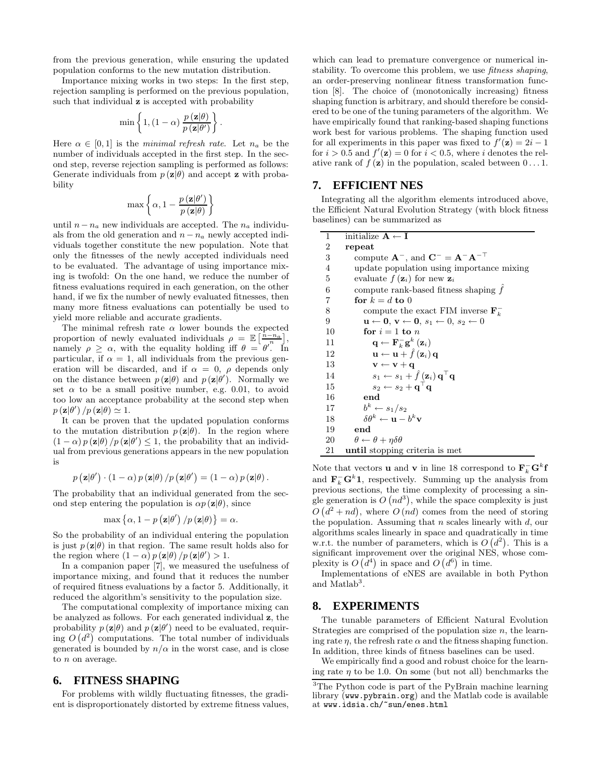from the previous generation, while ensuring the updated population conforms to the new mutation distribution.

Importance mixing works in two steps: In the first step, rejection sampling is performed on the previous population, such that individual **z** is accepted with probability

$$
\min\left\{1,(1-\alpha)\,\frac{p\left(\mathbf{z}|\theta\right)}{p\left(\mathbf{z}|\theta'\right)}\right\}.
$$

Here  $\alpha \in [0, 1]$  is the minimal refresh rate. Let  $n_a$  be the number of individuals accepted in the first step. In the second step, reverse rejection sampling is performed as follows: Generate individuals from  $p(\mathbf{z}|\theta)$  and accept **z** with probability

$$
\max \left\{ \alpha, 1 - \frac{p(\mathbf{z}|\theta')}{p(\mathbf{z}|\theta)} \right\}
$$

until  $n - n_a$  new individuals are accepted. The  $n_a$  individuals from the old generation and  $n - n_a$  newly accepted individuals together constitute the new population. Note that only the fitnesses of the newly accepted individuals need to be evaluated. The advantage of using importance mixing is twofold: On the one hand, we reduce the number of fitness evaluations required in each generation, on the other hand, if we fix the number of newly evaluated fitnesses, then many more fitness evaluations can potentially be used to yield more reliable and accurate gradients.

The minimal refresh rate  $\alpha$  lower bounds the expected proportion of newly evaluated individuals  $\rho = \mathbb{E} \left[ \frac{\hat{n} - n_a}{n} \right],$ proportion of hewild evaluated individuals  $\rho = \mathbb{E} \left[ \frac{n}{\rho} \right]$ ,<br>namely  $\rho \geq \alpha$ , with the equality holding iff  $\theta = \theta'$ . In particular, if  $\alpha = 1$ , all individuals from the previous generation will be discarded, and if  $\alpha = 0$ ,  $\rho$  depends only on the distance between  $p(\mathbf{z}|\theta)$  and  $p(\mathbf{z}|\theta')$ . Normally we set  $\alpha$  to be a small positive number, e.g. 0.01, to avoid too low an acceptance probability at the second step when  $p(\mathbf{z}|\theta') / p(\mathbf{z}|\theta) \simeq 1.$ 

It can be proven that the updated population conforms to the mutation distribution  $p(\mathbf{z}|\theta)$ . In the region where  $(1 - \alpha) p(\mathbf{z}|\theta) / p(\mathbf{z}|\theta') \leq 1$ , the probability that an individual from previous generations appears in the new population is

$$
p\left(\mathbf{z}|\theta'\right)\cdot\left(1-\alpha\right)p\left(\mathbf{z}|\theta\right)/p\left(\mathbf{z}|\theta'\right)=\left(1-\alpha\right)p\left(\mathbf{z}|\theta\right).
$$

The probability that an individual generated from the second step entering the population is  $\alpha p(\mathbf{z}|\theta)$ , since

$$
\max\left\{\alpha, 1 - p\left(\mathbf{z}|\theta'\right) / p\left(\mathbf{z}|\theta\right)\right\} = \alpha.
$$

So the probability of an individual entering the population is just  $p(\mathbf{z}|\theta)$  in that region. The same result holds also for the region where  $(1 - \alpha) p(\mathbf{z}|\theta) / p(\mathbf{z}|\theta') > 1$ .

In a companion paper [7], we measured the usefulness of importance mixing, and found that it reduces the number of required fitness evaluations by a factor 5. Additionally, it reduced the algorithm's sensitivity to the population size.

The computational complexity of importance mixing can be analyzed as follows. For each generated individual **z**, the probability  $p(\mathbf{z}|\theta)$  and  $p(\mathbf{z}|\theta')$  need to be evaluated, requiring  $O(d^2)$  computations. The total number of individuals generated is bounded by  $n/\alpha$  in the worst case, and is close to  $n$  on average.

#### **6. FITNESS SHAPING**

For problems with wildly fluctuating fitnesses, the gradient is disproportionately distorted by extreme fitness values, which can lead to premature convergence or numerical instability. To overcome this problem, we use fitness shaping, an order-preserving nonlinear fitness transformation function [8]. The choice of (monotonically increasing) fitness shaping function is arbitrary, and should therefore be considered to be one of the tuning parameters of the algorithm. We have empirically found that ranking-based shaping functions work best for various problems. The shaping function used for all experiments in this paper was fixed to  $f'(\mathbf{z})=2i-1$ for  $i > 0.5$  and  $f'(\mathbf{z}) = 0$  for  $i < 0.5$ , where i denotes the relative rank of  $f(\mathbf{z})$  in the population, scaled between  $0 \dots 1$ .

# **7. EFFICIENT NES**

Integrating all the algorithm elements introduced above, the Efficient Natural Evolution Strategy (with block fitness baselines) can be summarized as

| 1       | initialize $A \leftarrow I$                                                                                       |
|---------|-------------------------------------------------------------------------------------------------------------------|
| 2       | repeat                                                                                                            |
| 3       | compute $\mathbf{A}^-$ , and $\mathbf{C}^- = \mathbf{A}^- \mathbf{A}^{-\top}$                                     |
| 4       | update population using importance mixing                                                                         |
| 5       | evaluate $f(\mathbf{z}_i)$ for new $\mathbf{z}_i$                                                                 |
| $\;6\;$ | compute rank-based fitness shaping $f$                                                                            |
| 7       | for $k = d$ to 0                                                                                                  |
| 8       | compute the exact FIM inverse $\mathbf{F}_k^-$                                                                    |
| 9       | $\mathbf{u} \leftarrow \mathbf{0}, \, \mathbf{v} \leftarrow \mathbf{0}, \, s_1 \leftarrow 0, \, s_2 \leftarrow 0$ |
| 10      | for $i=1$ to n                                                                                                    |
| 11      | $\mathbf{q} \leftarrow \mathbf{F}_{k}^{-} \mathbf{g}^{k} \left( \mathbf{z}_{i} \right)$                           |
| 12      | $\mathbf{u} \leftarrow \mathbf{u} + \hat{f}(\mathbf{z}_i) \mathbf{q}$                                             |
| 13      | $\mathbf{v} \leftarrow \mathbf{v} + \mathbf{q}$                                                                   |
| 14      | $s_1 \leftarrow s_1 + \hat{f}(\mathbf{z}_i) \mathbf{q}^\top \mathbf{q}$                                           |
| 15      | $s_2 \leftarrow s_2 + \mathbf{q}^\top \mathbf{q}$                                                                 |
| 16      | end                                                                                                               |
| 17      | $b^k \leftarrow s_1/s_2$                                                                                          |
| 18      | $\delta \theta^k \leftarrow \mathbf{u} - b^k \mathbf{v}$                                                          |
| 19      | end                                                                                                               |
| 20      | $\theta \leftarrow \theta + \eta \delta \theta$                                                                   |
| 21      | until stopping criteria is met                                                                                    |

Note that vectors **u** and **v** in line 18 correspond to  $\mathbf{F}_k^- \mathbf{G}^k \mathbf{f}$ and  $\mathbf{F}_k^- \mathbf{G}^k \mathbf{1}$ , respectively. Summing up the analysis from previous sections, the time complexity of processing a single generation is  $O(n d^3)$ , while the space complexity is just  $O(d^2 + nd)$ , where  $O(nd)$  comes from the need of storing the population. Assuming that  $n$  scales linearly with  $d$ , our algorithms scales linearly in space and quadratically in time w.r.t. the number of parameters, which is  $O(d^2)$ . This is a significant improvement over the original NES, whose complexity is  $O(d^4)$  in space and  $O(d^6)$  in time.

Implementations of eNES are available in both Python and Matlab<sup>3</sup>.

#### **8. EXPERIMENTS**

The tunable parameters of Efficient Natural Evolution Strategies are comprised of the population size  $n$ , the learning rate  $\eta$ , the refresh rate  $\alpha$  and the fitness shaping function. In addition, three kinds of fitness baselines can be used.

We empirically find a good and robust choice for the learning rate  $\eta$  to be 1.0. On some (but not all) benchmarks the

<sup>3</sup>The Python code is part of the PyBrain machine learning library (www.pybrain.org) and the Matlab code is available at www.idsia.ch/~sun/enes.html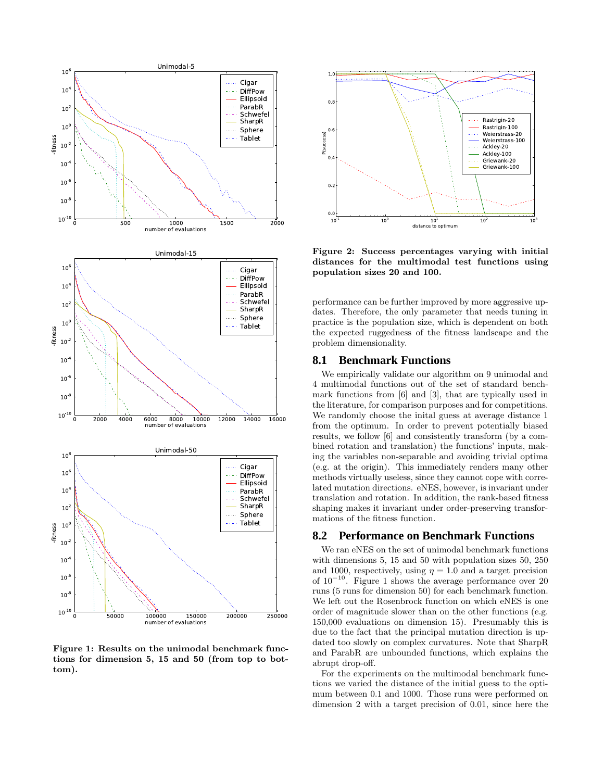

**Figure 1: Results on the unimodal benchmark functions for dimension 5, 15 and 50 (from top to bottom).**



**Figure 2: Success percentages varying with initial distances for the multimodal test functions using population sizes 20 and 100.**

performance can be further improved by more aggressive updates. Therefore, the only parameter that needs tuning in practice is the population size, which is dependent on both the expected ruggedness of the fitness landscape and the problem dimensionality.

#### **8.1 Benchmark Functions**

We empirically validate our algorithm on 9 unimodal and 4 multimodal functions out of the set of standard benchmark functions from [6] and [3], that are typically used in the literature, for comparison purposes and for competitions. We randomly choose the inital guess at average distance 1 from the optimum. In order to prevent potentially biased results, we follow [6] and consistently transform (by a combined rotation and translation) the functions' inputs, making the variables non-separable and avoiding trivial optima (e.g. at the origin). This immediately renders many other methods virtually useless, since they cannot cope with correlated mutation directions. eNES, however, is invariant under translation and rotation. In addition, the rank-based fitness shaping makes it invariant under order-preserving transformations of the fitness function.

#### **8.2 Performance on Benchmark Functions**

We ran eNES on the set of unimodal benchmark functions with dimensions 5, 15 and 50 with population sizes 50, 250 and 1000, respectively, using  $\eta = 1.0$  and a target precision of  $10^{-10}$ . Figure 1 shows the average performance over 20 runs (5 runs for dimension 50) for each benchmark function. We left out the Rosenbrock function on which eNES is one order of magnitude slower than on the other functions (e.g. 150,000 evaluations on dimension 15). Presumably this is due to the fact that the principal mutation direction is updated too slowly on complex curvatures. Note that SharpR and ParabR are unbounded functions, which explains the abrupt drop-off.

For the experiments on the multimodal benchmark functions we varied the distance of the initial guess to the optimum between 0.1 and 1000. Those runs were performed on dimension 2 with a target precision of 0.01, since here the